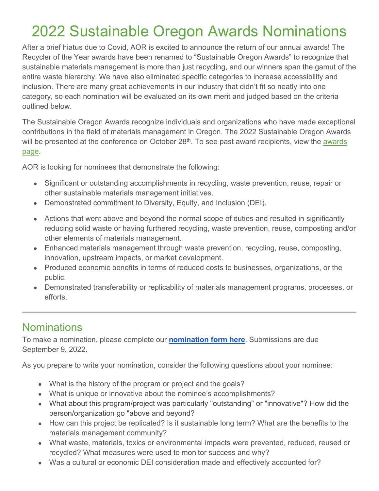## 2022 Sustainable Oregon Awards Nominations

After a brief hiatus due to Covid, AOR is excited to announce the return of our annual awards! The Recycler of the Year awards have been renamed to "Sustainable Oregon Awards" to recognize that sustainable materials management is more than just recycling, and our winners span the gamut of the entire waste hierarchy. We have also eliminated specific categories to increase accessibility and inclusion. There are many great achievements in our industry that didn't fit so neatly into one category, so each nomination will be evaluated on its own merit and judged based on the criteria outlined below.

The Sustainable Oregon Awards recognize individuals and organizations who have made exceptional contributions in the field of materials management in Oregon. The 2022 Sustainable Oregon Awards will be presented at the conference on October 28<sup>th</sup>. To see past award recipients, view the awards [page.](http://oregonrecyclers.org/about/ROY-awards/)

AOR is looking for nominees that demonstrate the following:

- Significant or outstanding accomplishments in recycling, waste prevention, reuse, repair or other sustainable materials management initiatives.
- Demonstrated commitment to Diversity, Equity, and Inclusion (DEI).
- Actions that went above and beyond the normal scope of duties and resulted in significantly reducing solid waste or having furthered recycling, waste prevention, reuse, composting and/or other elements of materials management.
- Enhanced materials management through waste prevention, recycling, reuse, composting, innovation, upstream impacts, or market development.
- Produced economic benefits in terms of reduced costs to businesses, organizations, or the public.
- Demonstrated transferability or replicability of materials management programs, processes, or efforts.

## **Nominations**

To make a nomination, please complete our **[nomination form](https://oregonrecyclers.wufoo.com/forms/2022-sustainable-oregon-awards-nominations/) [here](https://oregonrecyclers.wufoo.com/forms/2022-sustainable-oregon-awards-nominations/)**. Submissions are due September 9, 2022**.** 

As you prepare to write your nomination, consider the following questions about your nominee:

- What is the history of the program or project and the goals?
- What is unique or innovative about the nominee's accomplishments?
- What about this program/project was particularly "outstanding" or "innovative"? How did the person/organization go "above and beyond?
- How can this project be replicated? Is it sustainable long term? What are the benefits to the materials management community?
- What waste, materials, toxics or environmental impacts were prevented, reduced, reused or recycled? What measures were used to monitor success and why?
- Was a cultural or economic DEI consideration made and effectively accounted for?